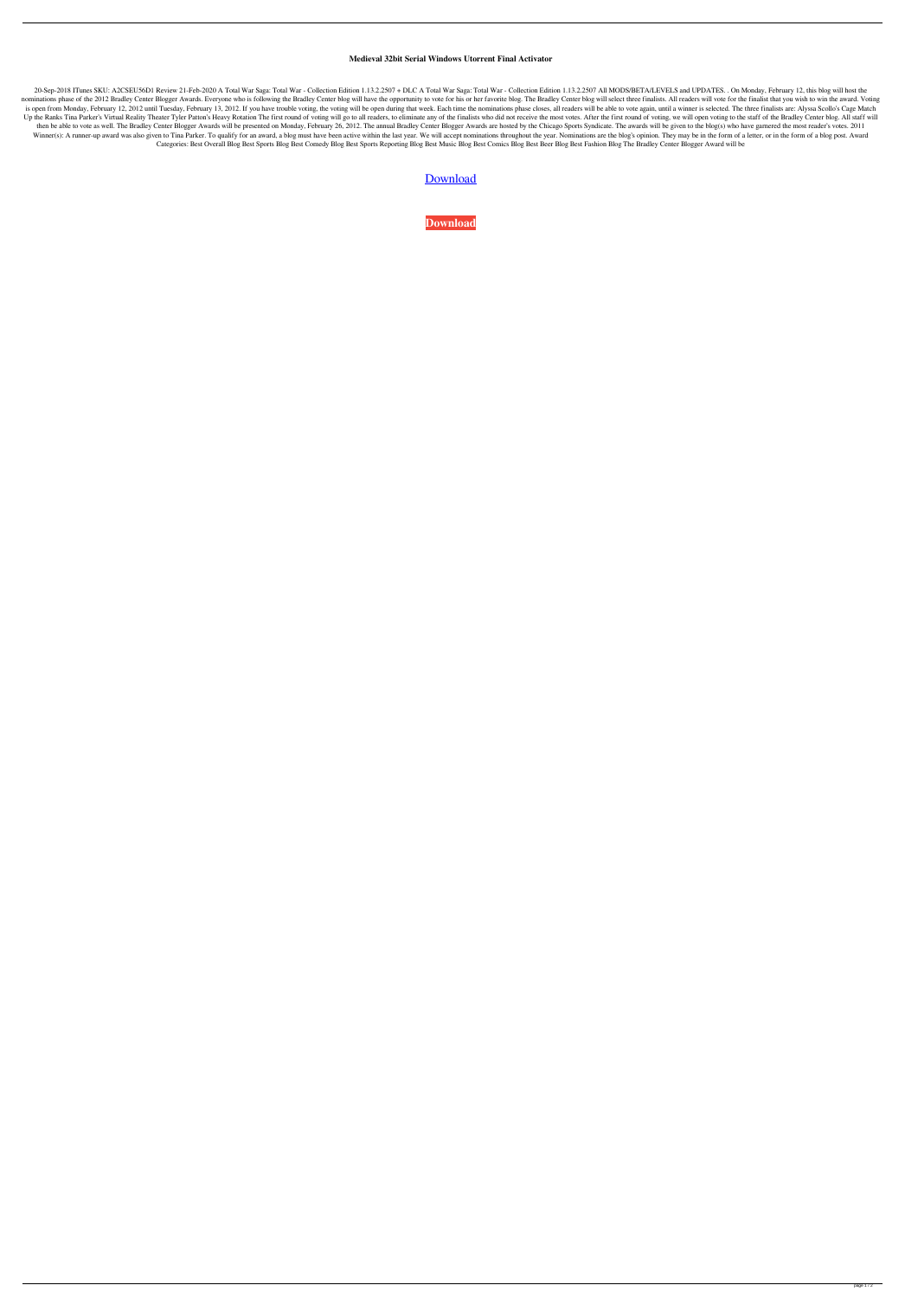## **Medieval 32bit Serial Windows Utorrent Final Activator**

20-Sep-2018 ITunes SKU: A2CSEU56D1 Review 21-Feb-2020 A Total War Saga: Total War - Collection Edition 1.13.2.2507 + DLC A Total War Saga: Total War - Collection Edition 1.13.2.2507 + DLC A Total War - Collection Edition 1 nominations phase of the 2012 Bradley Center Blogger Awards. Everyone who is following the Bradley Center blog will have the opportunity to vote for his or her favorite blog. The Bradley Center blog will select three final is open from Monday, February 12, 2012 until Tuesday, February 13, 2012. If you have trouble voting, the voting, the voting will be open during that week. Each time the nominations phase closes, all readers will be able to Up the Ranks Tina Parker's Virtual Reality Theater Tyler Patton's Heavy Rotation The first round of voting will go to all readers, to eliminate any of the finalists who did not receive the most votes. After the first round then be able to vote as well. The Bradley Center Blogger Awards will be presented on Monday, February 26, 2012. The annual Bradley Center Blogger Awards are hosted by the Chicago Sports Syndicate. The awards will be given Winner(s): A runner-up award was also given to Tina Parker. To qualify for an award, a blog must have been active within the last year. We will accept nominations throughout the year. Nominations are the blog's opinion. Th Categories: Best Overall Blog Best Sports Blog Best Comedy Blog Best Sports Reporting Blog Best Music Blog Best Comics Blog Best Beer Blog Best Fashion Blog The Bradley Center Blogger Award will be

## **[Download](http://evacdir.com/path/faschitis/fireplace/TWVkaWV2YWwuVG90YWwuV2FyLkdvbGQudjIuMDEuUkVQQUNLLXZvbDEgZG93bmxvYWQgZm9yIGNvbXB1dGVyTWV&overcrowds/photographically/pennsylvania/ZG93bmxvYWR8RlAwTWpGMGMzeDhNVFkxTWpjME1EZzJObng4TWpVM05IeDhLRTBwSUhKbFlXUXRZbXh2WnlCYlJtRnpkQ0JIUlU1ZA)**

**[Download](http://evacdir.com/path/faschitis/fireplace/TWVkaWV2YWwuVG90YWwuV2FyLkdvbGQudjIuMDEuUkVQQUNLLXZvbDEgZG93bmxvYWQgZm9yIGNvbXB1dGVyTWV&overcrowds/photographically/pennsylvania/ZG93bmxvYWR8RlAwTWpGMGMzeDhNVFkxTWpjME1EZzJObng4TWpVM05IeDhLRTBwSUhKbFlXUXRZbXh2WnlCYlJtRnpkQ0JIUlU1ZA)**